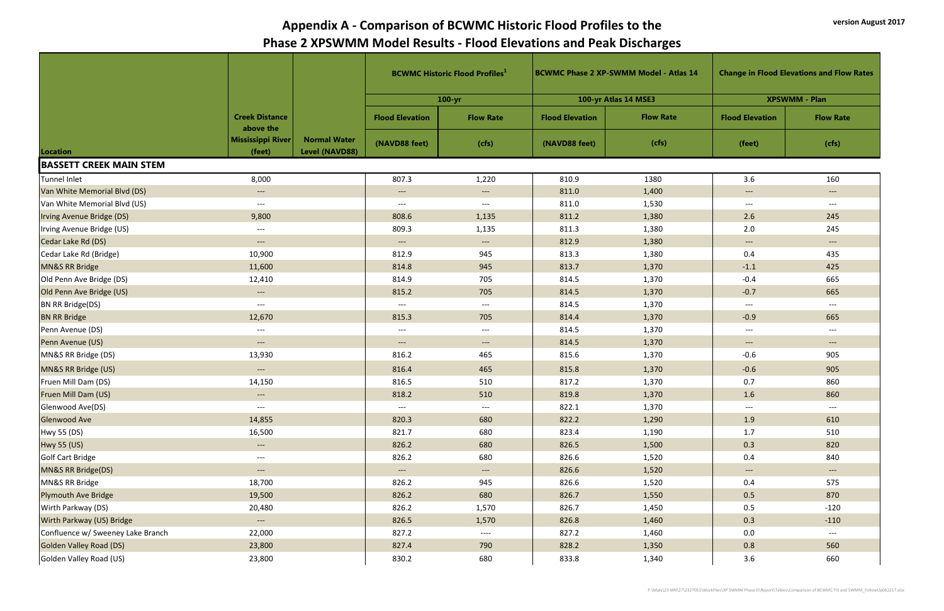|                                   |                                                        |                                       | <b>BCWMC Historic Flood Profiles</b> |                                   |                        | <b>BCWMC Phase 2 XP-SWMM Model - Atlas 14</b> | <b>Change in Flood Elevations and Flow Rates</b> |                                   |
|-----------------------------------|--------------------------------------------------------|---------------------------------------|--------------------------------------|-----------------------------------|------------------------|-----------------------------------------------|--------------------------------------------------|-----------------------------------|
|                                   |                                                        |                                       |                                      | $100 - yr$                        |                        | 100-yr Atlas 14 MSE3                          |                                                  | <b>XPSWMM - Plan</b>              |
|                                   | <b>Creek Distance</b><br>above the                     |                                       | <b>Flood Elevation</b>               | <b>Flow Rate</b>                  | <b>Flood Elevation</b> | <b>Flow Rate</b>                              | <b>Flood Elevation</b>                           | <b>Flow Rate</b>                  |
| Location                          | <b>Mississippi River</b><br>(feet)                     | <b>Normal Water</b><br>Level (NAVD88) | (NAVD88 feet)                        | (cfs)                             | (NAVD88 feet)          | (cfs)                                         | (feet)                                           | (cfs)                             |
| <b>BASSETT CREEK MAIN STEM</b>    |                                                        |                                       |                                      |                                   |                        |                                               |                                                  |                                   |
| Tunnel Inlet                      | 8,000                                                  |                                       | 807.3                                | 1,220                             | 810.9                  | 1380                                          | 3.6                                              | 160                               |
| Van White Memorial Blvd (DS)      | $\hspace{0.1em} \dashrightarrow \hspace{0.1em} \ldots$ |                                       | $---$                                | $\hspace{0.05cm} \dashrightarrow$ | 811.0                  | 1,400                                         | $---$                                            | $---$                             |
| Van White Memorial Blvd (US)      | $---$                                                  |                                       | $---$                                | $---$                             | 811.0                  | 1,530                                         | $---$                                            | $--$                              |
| Irving Avenue Bridge (DS)         | 9,800                                                  |                                       | 808.6                                | 1,135                             | 811.2                  | 1,380                                         | 2.6                                              | 245                               |
| Irving Avenue Bridge (US)         | $\hspace{0.05cm} \dashrightarrow$                      |                                       | 809.3                                | 1,135                             | 811.3                  | 1,380                                         | 2.0                                              | 245                               |
| Cedar Lake Rd (DS)                | $---$                                                  |                                       | $\hspace{0.05cm} \dashrightarrow$    | $\hspace{0.05cm} \dashrightarrow$ | 812.9                  | 1,380                                         | $\hspace{0.05cm} \dashrightarrow$                | $\hspace{0.05cm} \dashrightarrow$ |
| Cedar Lake Rd (Bridge)            | 10,900                                                 |                                       | 812.9                                | 945                               | 813.3                  | 1,380                                         | 0.4                                              | 435                               |
| MN&S RR Bridge                    | 11,600                                                 |                                       | 814.8                                | 945                               | 813.7                  | 1,370                                         | $-1.1$                                           | 425                               |
| Old Penn Ave Bridge (DS)          | 12,410                                                 |                                       | 814.9                                | 705                               | 814.5                  | 1,370                                         | $-0.4$                                           | 665                               |
| Old Penn Ave Bridge (US)          | $\hspace{0.1em} \ldots \hspace{0.1em}$                 |                                       | 815.2                                | 705                               | 814.5                  | 1,370                                         | $-0.7$                                           | 665                               |
| BN RR Bridge(DS)                  | $---$                                                  |                                       | $---$                                | $---$                             | 814.5                  | 1,370                                         | $---$                                            | $---$                             |
| <b>BN RR Bridge</b>               | 12,670                                                 |                                       | 815.3                                | 705                               | 814.4                  | 1,370                                         | $-0.9$                                           | 665                               |
| Penn Avenue (DS)                  | $\hspace{0.05cm} \dashrightarrow$                      |                                       | $---$                                | $--$                              | 814.5                  | 1,370                                         | $---$                                            | $---$                             |
| Penn Avenue (US)                  | $---$                                                  |                                       | $---$                                | $\qquad \qquad - -$               | 814.5                  | 1,370                                         | $---$                                            | $--$                              |
| MN&S RR Bridge (DS)               | 13,930                                                 |                                       | 816.2                                | 465                               | 815.6                  | 1,370                                         | $-0.6$                                           | 905                               |
| MN&S RR Bridge (US)               | $\qquad \qquad - -$                                    |                                       | 816.4                                | 465                               | 815.8                  | 1,370                                         | $-0.6$                                           | 905                               |
| Fruen Mill Dam (DS)               | 14,150                                                 |                                       | 816.5                                | 510                               | 817.2                  | 1,370                                         | 0.7                                              | 860                               |
| Fruen Mill Dam (US)               | $\qquad \qquad - - -$                                  |                                       | 818.2                                | 510                               | 819.8                  | 1,370                                         | 1.6                                              | 860                               |
| Glenwood Ave(DS)                  | $---$                                                  |                                       | $--$                                 | $---$                             | 822.1                  | 1,370                                         | $\hspace{0.05cm}---$                             | $---$                             |
| <b>Glenwood Ave</b>               | 14,855                                                 |                                       | 820.3                                | 680                               | 822.2                  | 1,290                                         | 1.9                                              | 610                               |
| Hwy 55 (DS)                       | 16,500                                                 |                                       | 821.7                                | 680                               | 823.4                  | 1,190                                         | 1.7                                              | 510                               |
| Hwy 55 (US)                       | $\qquad \qquad - -$                                    |                                       | 826.2                                | 680                               | 826.5                  | 1,500                                         | 0.3                                              | 820                               |
| Golf Cart Bridge                  | $---$                                                  |                                       | 826.2                                | 680                               | 826.6                  | 1,520                                         | 0.4                                              | 840                               |
| MN&S RR Bridge(DS)                | $---$                                                  |                                       | $---$                                | $\qquad \qquad - -$               | 826.6                  | 1,520                                         | $\qquad \qquad - -$                              | $\hspace{0.05cm} \dashrightarrow$ |
| MN&S RR Bridge                    | 18,700                                                 |                                       | 826.2                                | 945                               | 826.6                  | 1,520                                         | 0.4                                              | 575                               |
| <b>Plymouth Ave Bridge</b>        | 19,500                                                 |                                       | 826.2                                | 680                               | 826.7                  | 1,550                                         | 0.5                                              | 870                               |
| Wirth Parkway (DS)                | 20,480                                                 |                                       | 826.2                                | 1,570                             | 826.7                  | 1,450                                         | 0.5                                              | $-120$                            |
| Wirth Parkway (US) Bridge         | $---$                                                  |                                       | 826.5                                | 1,570                             | 826.8                  | 1,460                                         | 0.3                                              | $-110$                            |
| Confluence w/ Sweeney Lake Branch | 22,000                                                 |                                       | 827.2                                | $---$                             | 827.2                  | 1,460                                         | 0.0                                              | $---$                             |
| <b>Golden Valley Road (DS)</b>    | 23,800                                                 |                                       | 827.4                                | 790                               | 828.2                  | 1,350                                         | 0.8                                              | 560                               |
| Golden Valley Road (US)           | 23,800                                                 |                                       | 830.2                                | 680                               | 833.8                  | 1,340                                         | 3.6                                              | 660                               |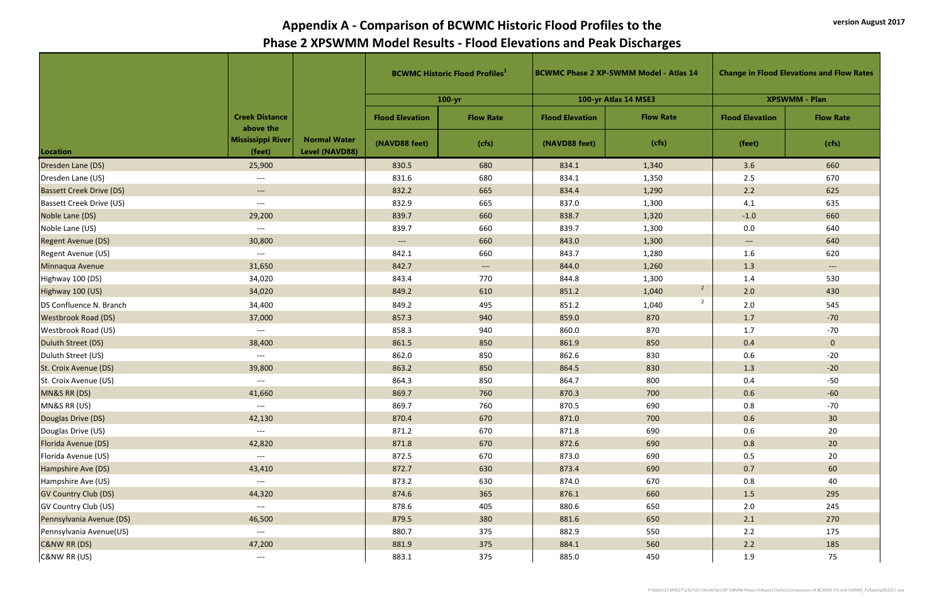|                                 |                                          |                                       |                        | <b>BCWMC Historic Flood Profiles</b> <sup>1</sup> | <b>BCWMC Phase 2 XP-SWMM Model - Atlas 14</b> |                         | <b>Change in Flood Elevations and Flow Rates</b> |                                                                                                                                                                                                                                                                                         |  |  |
|---------------------------------|------------------------------------------|---------------------------------------|------------------------|---------------------------------------------------|-----------------------------------------------|-------------------------|--------------------------------------------------|-----------------------------------------------------------------------------------------------------------------------------------------------------------------------------------------------------------------------------------------------------------------------------------------|--|--|
|                                 |                                          |                                       |                        | $100 - yr$                                        |                                               | 100-yr Atlas 14 MSE3    |                                                  | <b>XPSWMM - Plan</b><br><b>Flow Rate</b><br>(cfs)<br>660<br>670<br>625<br>635<br>660<br>640<br>640<br>620<br>$\qquad \qquad - - -$<br>530<br>430<br>545<br>$-70$<br>$-70$<br>$\mathbf{0}$<br>$-20$<br>$-20$<br>$-50$<br>$-60$<br>$-70$<br>30 <sup>°</sup><br>20<br>20<br>20<br>60<br>40 |  |  |
|                                 | <b>Creek Distance</b>                    |                                       | <b>Flood Elevation</b> | <b>Flow Rate</b>                                  | <b>Flood Elevation</b>                        | <b>Flow Rate</b>        | <b>Flood Elevation</b>                           |                                                                                                                                                                                                                                                                                         |  |  |
| Location                        | above the<br>Mississippi River<br>(feet) | <b>Normal Water</b><br>Level (NAVD88) | (NAVD88 feet)          | (cfs)                                             | (NAVD88 feet)                                 | (cfs)                   | (feet)                                           |                                                                                                                                                                                                                                                                                         |  |  |
| Dresden Lane (DS)               | 25,900                                   |                                       | 830.5                  | 680                                               | 834.1                                         | 1,340                   | 3.6                                              |                                                                                                                                                                                                                                                                                         |  |  |
| Dresden Lane (US)               | $---$                                    |                                       | 831.6                  | 680                                               | 834.1                                         | 1,350                   | 2.5                                              |                                                                                                                                                                                                                                                                                         |  |  |
| <b>Bassett Creek Drive (DS)</b> | $---$                                    |                                       | 832.2                  | 665                                               | 834.4                                         | 1,290                   | $2.2$                                            |                                                                                                                                                                                                                                                                                         |  |  |
| <b>Bassett Creek Drive (US)</b> | $---$                                    |                                       | 832.9                  | 665                                               | 837.0                                         | 1,300                   | 4.1                                              |                                                                                                                                                                                                                                                                                         |  |  |
| Noble Lane (DS)                 | 29,200                                   |                                       | 839.7                  | 660                                               | 838.7                                         | 1,320                   | $-1.0$                                           |                                                                                                                                                                                                                                                                                         |  |  |
| Noble Lane (US)                 | $---$                                    |                                       | 839.7                  | 660                                               | 839.7                                         | 1,300                   | 0.0                                              |                                                                                                                                                                                                                                                                                         |  |  |
| <b>Regent Avenue (DS)</b>       | 30,800                                   |                                       | $\hspace{0.05cm}---$   | 660                                               | 843.0                                         | 1,300                   | $\hspace{0.05cm} \ldots \hspace{0.05cm}$         |                                                                                                                                                                                                                                                                                         |  |  |
| Regent Avenue (US)              | $---$                                    |                                       | 842.1                  | 660                                               | 843.7                                         | 1,280                   | 1.6                                              |                                                                                                                                                                                                                                                                                         |  |  |
| Minnaqua Avenue                 | 31,650                                   |                                       | 842.7                  | $\qquad \qquad - -$                               | 844.0                                         | 1,260                   | 1.3                                              |                                                                                                                                                                                                                                                                                         |  |  |
| Highway 100 (DS)                | 34,020                                   |                                       | 843.4                  | 770                                               | 844.8                                         | 1,300                   | 1.4                                              |                                                                                                                                                                                                                                                                                         |  |  |
| Highway 100 (US)                | 34,020                                   |                                       | 849.2                  | 610                                               | 851.2                                         | $\overline{2}$<br>1,040 | 2.0                                              |                                                                                                                                                                                                                                                                                         |  |  |
| DS Confluence N. Branch         | 34,400                                   |                                       | 849.2                  | 495                                               | 851.2                                         | $\overline{2}$<br>1,040 | 2.0                                              |                                                                                                                                                                                                                                                                                         |  |  |
| <b>Westbrook Road (DS)</b>      | 37,000                                   |                                       | 857.3                  | 940                                               | 859.0                                         | 870                     | 1.7                                              |                                                                                                                                                                                                                                                                                         |  |  |
| Westbrook Road (US)             | $---$                                    |                                       | 858.3                  | 940                                               | 860.0                                         | 870                     | 1.7                                              |                                                                                                                                                                                                                                                                                         |  |  |
| Duluth Street (DS)              | 38,400                                   |                                       | 861.5                  | 850                                               | 861.9                                         | 850                     | 0.4                                              |                                                                                                                                                                                                                                                                                         |  |  |
| Duluth Street (US)              | $---$                                    |                                       | 862.0                  | 850                                               | 862.6                                         | 830                     | 0.6                                              |                                                                                                                                                                                                                                                                                         |  |  |
| St. Croix Avenue (DS)           | 39,800                                   |                                       | 863.2                  | 850                                               | 864.5                                         | 830                     | 1.3                                              |                                                                                                                                                                                                                                                                                         |  |  |
| St. Croix Avenue (US)           | $---$                                    |                                       | 864.3                  | 850                                               | 864.7                                         | 800                     | 0.4                                              |                                                                                                                                                                                                                                                                                         |  |  |
| MN&S RR (DS)                    | 41,660                                   |                                       | 869.7                  | 760                                               | 870.3                                         | 700                     | 0.6                                              |                                                                                                                                                                                                                                                                                         |  |  |
| MN&S RR (US)                    | $\hspace{0.05cm} \ldots$                 |                                       | 869.7                  | 760                                               | 870.5                                         | 690                     | 0.8                                              |                                                                                                                                                                                                                                                                                         |  |  |
| Douglas Drive (DS)              | 42,130                                   |                                       | 870.4                  | 670                                               | 871.0                                         | 700                     | 0.6                                              |                                                                                                                                                                                                                                                                                         |  |  |
| Douglas Drive (US)              | $\hspace{0.05cm} \dashrightarrow$        |                                       | 871.2                  | 670                                               | 871.8                                         | 690                     | $0.6\,$                                          |                                                                                                                                                                                                                                                                                         |  |  |
| Florida Avenue (DS)             | 42,820                                   |                                       | 871.8                  | 670                                               | 872.6                                         | 690                     | 0.8                                              |                                                                                                                                                                                                                                                                                         |  |  |
| Florida Avenue (US)             | $---$                                    |                                       | 872.5                  | 670                                               | 873.0                                         | 690                     | 0.5                                              |                                                                                                                                                                                                                                                                                         |  |  |
| Hampshire Ave (DS)              | 43,410                                   |                                       | 872.7                  | 630                                               | 873.4                                         | 690                     | 0.7                                              |                                                                                                                                                                                                                                                                                         |  |  |
| Hampshire Ave (US)              | $\hspace{0.05cm} \dashrightarrow$        |                                       | 873.2                  | 630                                               | 874.0                                         | 670                     | $0.8\,$                                          |                                                                                                                                                                                                                                                                                         |  |  |
| <b>GV Country Club (DS)</b>     | 44,320                                   |                                       | 874.6                  | 365                                               | 876.1                                         | 660                     | 1.5                                              | 295                                                                                                                                                                                                                                                                                     |  |  |
| <b>GV Country Club (US)</b>     | $\hspace{0.05cm}---$                     |                                       | 878.6                  | 405                                               | 880.6                                         | 650                     | 2.0                                              | 245                                                                                                                                                                                                                                                                                     |  |  |
| Pennsylvania Avenue (DS)        | 46,500                                   |                                       | 879.5                  | 380                                               | 881.6                                         | 650                     | 2.1                                              | 270                                                                                                                                                                                                                                                                                     |  |  |
| Pennsylvania Avenue(US)         | $\hspace{0.05cm} \dashrightarrow$        |                                       | 880.7                  | 375                                               | 882.9                                         | 550                     | 2.2                                              | 175                                                                                                                                                                                                                                                                                     |  |  |
| <b>C&amp;NW RR (DS)</b>         | 47,200                                   |                                       | 881.9                  | 375                                               | 884.1                                         | 560                     | 2.2                                              | 185                                                                                                                                                                                                                                                                                     |  |  |
| C&NW RR (US)                    | $---$                                    |                                       | 883.1                  | 375                                               | 885.0                                         | 450                     | 1.9                                              | 75                                                                                                                                                                                                                                                                                      |  |  |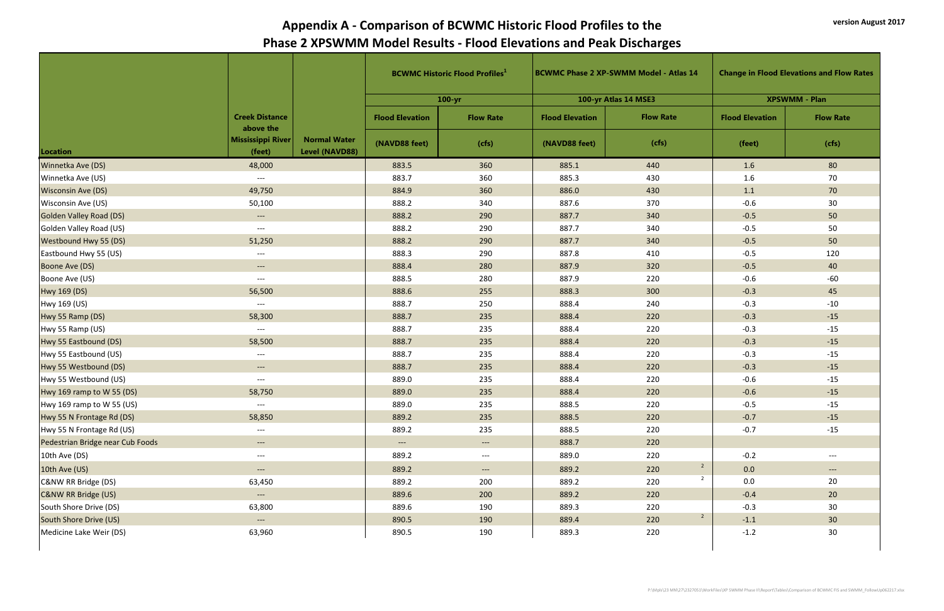|                                  |                                    |                                       |                                   | <b>BCWMC Historic Flood Profiles</b> <sup>1</sup> |                        | <b>BCWMC Phase 2 XP-SWMM Model - Atlas 14</b> | <b>Change in Flood Elevations and Flow Rates</b> |                      |
|----------------------------------|------------------------------------|---------------------------------------|-----------------------------------|---------------------------------------------------|------------------------|-----------------------------------------------|--------------------------------------------------|----------------------|
|                                  |                                    |                                       |                                   | $100 - yr$                                        |                        | 100-yr Atlas 14 MSE3                          |                                                  | <b>XPSWMM - Plan</b> |
|                                  | <b>Creek Distance</b><br>above the |                                       | <b>Flood Elevation</b>            | <b>Flow Rate</b>                                  | <b>Flood Elevation</b> | <b>Flow Rate</b>                              | <b>Flood Elevation</b>                           | <b>Flow Rate</b>     |
| Location                         | <b>Mississippi River</b><br>(feet) | <b>Normal Water</b><br>Level (NAVD88) | (NAVD88 feet)                     | (cfs)                                             | (NAVD88 feet)          | (cfs)                                         | (feet)                                           | (cfs)                |
| Winnetka Ave (DS)                | 48,000                             |                                       | 883.5                             | 360                                               | 885.1                  | 440                                           | 1.6                                              | 80                   |
| Winnetka Ave (US)                | $---$                              |                                       | 883.7                             | 360                                               | 885.3                  | 430                                           | 1.6                                              | 70                   |
| <b>Wisconsin Ave (DS)</b>        | 49,750                             |                                       | 884.9                             | 360                                               | 886.0                  | 430                                           | 1.1                                              | 70                   |
| Wisconsin Ave (US)               | 50,100                             |                                       | 888.2                             | 340                                               | 887.6                  | 370                                           | $-0.6$                                           | 30                   |
| <b>Golden Valley Road (DS)</b>   | $\hspace{0.05cm} \dashrightarrow$  |                                       | 888.2                             | 290                                               | 887.7                  | 340                                           | $-0.5$                                           | 50                   |
| Golden Valley Road (US)          | $---$                              |                                       | 888.2                             | 290                                               | 887.7                  | 340                                           | $-0.5$                                           | 50                   |
| <b>Westbound Hwy 55 (DS)</b>     | 51,250                             |                                       | 888.2                             | 290                                               | 887.7                  | 340                                           | $-0.5$                                           | 50                   |
| Eastbound Hwy 55 (US)            | $---$                              |                                       | 888.3                             | 290                                               | 887.8                  | 410                                           | $-0.5$                                           | 120                  |
| Boone Ave (DS)                   | $---$                              |                                       | 888.4                             | 280                                               | 887.9                  | 320                                           | $-0.5$                                           | 40                   |
| Boone Ave (US)                   | $---$                              |                                       | 888.5                             | 280                                               | 887.9                  | 220                                           | $-0.6$                                           | $-60$                |
| Hwy 169 (DS)                     | 56,500                             |                                       | 888.6                             | 255                                               | 888.3                  | 300                                           | $-0.3$                                           | 45                   |
| Hwy 169 (US)                     | $---$                              |                                       | 888.7                             | 250                                               | 888.4                  | 240                                           | $-0.3$                                           | $-10$                |
| Hwy 55 Ramp (DS)                 | 58,300                             |                                       | 888.7                             | 235                                               | 888.4                  | 220                                           | $-0.3$                                           | $-15$                |
| Hwy 55 Ramp (US)                 | $---$                              |                                       | 888.7                             | 235                                               | 888.4                  | 220                                           | $-0.3$                                           | $-15$                |
| Hwy 55 Eastbound (DS)            | 58,500                             |                                       | 888.7                             | 235                                               | 888.4                  | 220                                           | $-0.3$                                           | $-15$                |
| Hwy 55 Eastbound (US)            | $---$                              |                                       | 888.7                             | 235                                               | 888.4                  | 220                                           | $-0.3$                                           | $-15$                |
| Hwy 55 Westbound (DS)            | $---$                              |                                       | 888.7                             | 235                                               | 888.4                  | 220                                           | $-0.3$                                           | $-15$                |
| Hwy 55 Westbound (US)            | $---$                              |                                       | 889.0                             | 235                                               | 888.4                  | 220                                           | $-0.6$                                           | $-15$                |
| Hwy 169 ramp to W 55 (DS)        | 58,750                             |                                       | 889.0                             | 235                                               | 888.4                  | 220                                           | $-0.6$                                           | $-15$                |
| Hwy 169 ramp to W 55 (US)        | $---$                              |                                       | 889.0                             | 235                                               | 888.5                  | 220                                           | $-0.5$                                           | $-15$                |
| Hwy 55 N Frontage Rd (DS)        | 58,850                             |                                       | 889.2                             | 235                                               | 888.5                  | 220                                           | $-0.7$                                           | $-15$                |
| Hwy 55 N Frontage Rd (US)        | $---$                              |                                       | 889.2                             | 235                                               | 888.5                  | 220                                           | $-0.7$                                           | $-15$                |
| Pedestrian Bridge near Cub Foods | $---$                              |                                       | $\hspace{0.05cm} \dashrightarrow$ | $\hspace{0.05cm} \dashrightarrow$                 | 888.7                  | 220                                           |                                                  |                      |
| 10th Ave (DS)                    | $---$                              |                                       | 889.2                             | $\hspace{0.05cm} \dashrightarrow$                 | 889.0                  | 220                                           | $-0.2$                                           | $---$                |
| 10th Ave (US)                    | $---$                              |                                       | 889.2                             | $---$                                             | 889.2                  | $\overline{2}$<br>220                         | 0.0                                              | $\qquad \qquad - -$  |
| C&NW RR Bridge (DS)              | 63,450                             |                                       | 889.2                             | 200                                               | 889.2                  | $\overline{2}$<br>220                         | 0.0                                              | 20                   |
| <b>C&amp;NW RR Bridge (US)</b>   | $---$                              |                                       | 889.6                             | 200                                               | 889.2                  | 220                                           | $-0.4$                                           | 20 <sup>°</sup>      |
| South Shore Drive (DS)           | 63,800                             |                                       | 889.6                             | 190                                               | 889.3                  | 220                                           | $-0.3$                                           | 30                   |
| South Shore Drive (US)           | $---$                              |                                       | 890.5                             | 190                                               | 889.4                  | $\overline{2}$<br>220                         | $-1.1$                                           | 30 <sup>°</sup>      |
| Medicine Lake Weir (DS)          | 63,960                             |                                       | 890.5                             | 190                                               | 889.3                  | 220                                           | $-1.2$                                           | 30                   |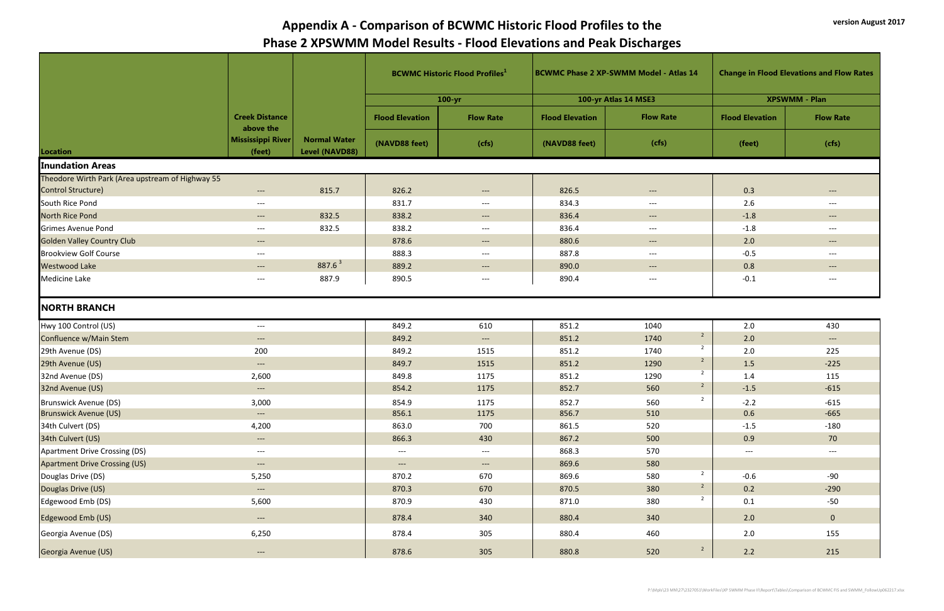|                                                  |                                    |                                       |                                          |                       |                        | <b>BCWMC Historic Flood Profiles</b> <sup>1</sup> |                        | <b>BCWMC Phase 2 XP-SWMM Model - Atlas 14</b> |  | <b>Change in Flood Elevations and Flow Rates</b> |  |
|--------------------------------------------------|------------------------------------|---------------------------------------|------------------------------------------|-----------------------|------------------------|---------------------------------------------------|------------------------|-----------------------------------------------|--|--------------------------------------------------|--|
|                                                  |                                    |                                       |                                          | $100 - yr$            |                        | 100-yr Atlas 14 MSE3                              |                        | <b>XPSWMM - Plan</b>                          |  |                                                  |  |
|                                                  | <b>Creek Distance</b><br>above the |                                       | <b>Flood Elevation</b>                   | <b>Flow Rate</b>      | <b>Flood Elevation</b> | <b>Flow Rate</b>                                  | <b>Flood Elevation</b> | <b>Flow Rate</b>                              |  |                                                  |  |
| Location                                         | <b>Mississippi River</b><br>(feet) | <b>Normal Water</b><br>Level (NAVD88) | (NAVD88 feet)                            | (cfs)                 | (NAVD88 feet)          | (cfs)                                             | (feet)                 | (cfs)                                         |  |                                                  |  |
| <b>Inundation Areas</b>                          |                                    |                                       |                                          |                       |                        |                                                   |                        |                                               |  |                                                  |  |
| Theodore Wirth Park (Area upstream of Highway 55 |                                    |                                       |                                          |                       |                        |                                                   |                        |                                               |  |                                                  |  |
| Control Structure)                               | $---$                              | 815.7                                 | 826.2                                    | $--$                  | 826.5                  | $---$                                             | 0.3                    | $---$                                         |  |                                                  |  |
| South Rice Pond                                  | $---$                              |                                       | 831.7                                    | $---$                 | 834.3                  | $\hspace{0.05cm} \ldots \hspace{0.05cm}$          | 2.6                    | $--$                                          |  |                                                  |  |
| <b>North Rice Pond</b>                           | $---$                              | 832.5                                 | 838.2                                    | $---$                 | 836.4                  | $\hspace{0.05cm} \dashrightarrow$                 | $-1.8$                 | $\hspace{0.05cm} \dashrightarrow$             |  |                                                  |  |
| <b>Grimes Avenue Pond</b>                        | $---$                              | 832.5                                 | 838.2                                    | $---$                 | 836.4                  | $---$                                             | $-1.8$                 | $---$                                         |  |                                                  |  |
| <b>Golden Valley Country Club</b>                | $---$                              |                                       | 878.6                                    | $---$                 | 880.6                  | $--$                                              | 2.0                    | $--$                                          |  |                                                  |  |
| <b>Brookview Golf Course</b>                     | $---$                              |                                       | 888.3                                    | $---$                 | 887.8                  | $---$                                             | $-0.5$                 | $---$                                         |  |                                                  |  |
| <b>Westwood Lake</b>                             | $---$                              | $887.6^3$                             | 889.2                                    | $\qquad \qquad - - -$ | 890.0                  | $--$                                              | 0.8                    | $\hspace{0.05cm} \dashrightarrow$             |  |                                                  |  |
| <b>Medicine Lake</b>                             | $---$                              | 887.9                                 | 890.5                                    | $---$                 | 890.4                  | $\hspace{0.05cm} \ldots \hspace{0.05cm}$          | $-0.1$                 | $--$                                          |  |                                                  |  |
| <b>NORTH BRANCH</b>                              |                                    |                                       |                                          |                       |                        |                                                   |                        |                                               |  |                                                  |  |
| Hwy 100 Control (US)                             | $---$                              |                                       | 849.2                                    | 610                   | 851.2                  | 1040                                              | 2.0                    | 430                                           |  |                                                  |  |
| Confluence w/Main Stem                           | $---$                              |                                       | 849.2                                    | $--$                  | 851.2                  | $\overline{2}$<br>1740                            | 2.0                    | $\hspace{0.05cm} \dashrightarrow$             |  |                                                  |  |
| 29th Avenue (DS)                                 | 200                                |                                       | 849.2                                    | 1515                  | 851.2                  | $\overline{2}$<br>1740                            | 2.0                    | 225                                           |  |                                                  |  |
| 29th Avenue (US)                                 | $---$                              |                                       | 849.7                                    | 1515                  | 851.2                  | $\overline{2}$<br>1290                            | 1.5                    | $-225$                                        |  |                                                  |  |
| 32nd Avenue (DS)                                 | 2,600                              |                                       | 849.8                                    | 1175                  | 851.2                  | $\overline{2}$<br>1290                            | 1.4                    | 115                                           |  |                                                  |  |
| 32nd Avenue (US)                                 | $---$                              |                                       | 854.2                                    | 1175                  | 852.7                  | $\overline{2}$<br>560                             | $-1.5$                 | $-615$                                        |  |                                                  |  |
| Brunswick Avenue (DS)                            | 3,000                              |                                       | 854.9                                    | 1175                  | 852.7                  | $\overline{2}$<br>560                             | $-2.2$                 | $-615$                                        |  |                                                  |  |
| <b>Brunswick Avenue (US)</b>                     | $---$                              |                                       | 856.1                                    | 1175                  | 856.7                  | 510                                               | 0.6                    | $-665$                                        |  |                                                  |  |
| 34th Culvert (DS)                                | 4,200                              |                                       | 863.0                                    | 700                   | 861.5                  | 520                                               | $-1.5$                 | $-180$                                        |  |                                                  |  |
| 34th Culvert (US)                                | $\hspace{0.05cm} \ldots$           |                                       | 866.3                                    | 430                   | 867.2                  | 500                                               | 0.9                    | 70                                            |  |                                                  |  |
| Apartment Drive Crossing (DS)                    | $---$                              |                                       | $\hspace{0.05cm} \ldots \hspace{0.05cm}$ | $---$                 | 868.3                  | 570                                               | $---$                  | $\hspace{0.05cm}---\hspace{0.05cm}$           |  |                                                  |  |
| <b>Apartment Drive Crossing (US)</b>             | $---$                              |                                       | $\qquad \qquad - -$                      | $\qquad \qquad - - -$ | 869.6                  | 580                                               |                        |                                               |  |                                                  |  |
| Douglas Drive (DS)                               | 5,250                              |                                       | 870.2                                    | 670                   | 869.6                  | $\overline{2}$<br>580                             | $-0.6$                 | $-90$                                         |  |                                                  |  |
| Douglas Drive (US)                               | $---$                              |                                       | 870.3                                    | 670                   | 870.5                  | $\overline{2}$<br>380                             | 0.2                    | $-290$                                        |  |                                                  |  |
| Edgewood Emb (DS)                                | 5,600                              |                                       | 870.9                                    | 430                   | 871.0                  | $\overline{2}$<br>380                             | 0.1                    | $-50$                                         |  |                                                  |  |
| Edgewood Emb (US)                                | $\hspace{0.05cm} \dashrightarrow$  |                                       | 878.4                                    | 340                   | 880.4                  | 340                                               | 2.0                    | $\overline{0}$                                |  |                                                  |  |
| Georgia Avenue (DS)                              | 6,250                              |                                       | 878.4                                    | 305                   | 880.4                  | 460                                               | 2.0                    | 155                                           |  |                                                  |  |
| Georgia Avenue (US)                              | $---$                              |                                       | 878.6                                    | 305                   | 880.8                  | $\overline{2}$<br>520                             | 2.2                    | 215                                           |  |                                                  |  |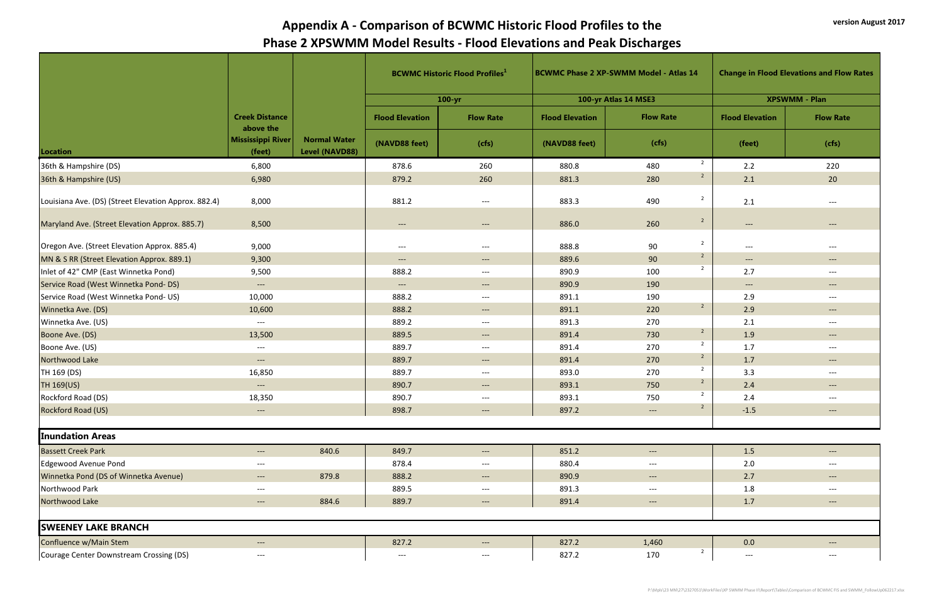|                                                      |                                    |                                       |                                   | <b>BCWMC Historic Flood Profiles</b> |                        | <b>BCWMC Phase 2 XP-SWMM Model - Atlas 14</b> |                |                                                        | <b>Change in Flood Elevations and Flow Rates</b> |  |
|------------------------------------------------------|------------------------------------|---------------------------------------|-----------------------------------|--------------------------------------|------------------------|-----------------------------------------------|----------------|--------------------------------------------------------|--------------------------------------------------|--|
|                                                      |                                    |                                       |                                   | $100 - yr$                           |                        | 100-yr Atlas 14 MSE3                          |                | <b>XPSWMM - Plan</b>                                   |                                                  |  |
|                                                      | <b>Creek Distance</b><br>above the |                                       | <b>Flood Elevation</b>            | <b>Flow Rate</b>                     | <b>Flood Elevation</b> | <b>Flow Rate</b>                              |                | <b>Flood Elevation</b>                                 | <b>Flow Rate</b>                                 |  |
| Location                                             | Mississippi River<br>(feet)        | <b>Normal Water</b><br>Level (NAVD88) | (NAVD88 feet)                     | (cfs)                                | (NAVD88 feet)          | (cfs)                                         |                | (feet)                                                 | (cfs)                                            |  |
| 36th & Hampshire (DS)                                | 6,800                              |                                       | 878.6                             | 260                                  | 880.8                  | 480                                           | $\overline{2}$ | 2.2                                                    | 220                                              |  |
| 36th & Hampshire (US)                                | 6,980                              |                                       | 879.2                             | 260                                  | 881.3                  | 280                                           | $\overline{2}$ | 2.1                                                    | 20                                               |  |
| Louisiana Ave. (DS) (Street Elevation Approx. 882.4) | 8,000                              |                                       | 881.2                             | $---$                                | 883.3                  | 490                                           | $\overline{2}$ | 2.1                                                    | $---$                                            |  |
| Maryland Ave. (Street Elevation Approx. 885.7)       | 8,500                              |                                       | $---$                             | $\qquad \qquad - -$                  | 886.0                  | 260                                           | $\overline{2}$ | $---$                                                  | $---$                                            |  |
| Oregon Ave. (Street Elevation Approx. 885.4)         | 9,000                              |                                       | $---$                             | $---$                                | 888.8                  | 90                                            | $\overline{2}$ | $\hspace{0.05cm} \dashrightarrow$                      | $---$                                            |  |
| MN & S RR (Street Elevation Approx. 889.1)           | 9,300                              |                                       | $---$                             | $---$                                | 889.6                  | 90                                            | $\overline{2}$ | $--$                                                   | $\hspace{0.05cm} \dashrightarrow$                |  |
| Inlet of 42" CMP (East Winnetka Pond)                | 9,500                              |                                       | 888.2                             | $---$                                | 890.9                  | 100                                           | $\overline{2}$ | 2.7                                                    | $---$                                            |  |
| Service Road (West Winnetka Pond-DS)                 | $\qquad \qquad - -$                |                                       | $\hspace{0.05cm} \dashrightarrow$ | $\qquad \qquad - -$                  | 890.9                  | 190                                           |                | $\hspace{0.1em} \dashrightarrow \hspace{0.1em} \ldots$ | $---$                                            |  |
| Service Road (West Winnetka Pond-US)                 | 10,000                             |                                       | 888.2                             | $---$                                | 891.1                  | 190                                           |                | 2.9                                                    | $---$                                            |  |
| Winnetka Ave. (DS)                                   | 10,600                             |                                       | 888.2                             | $---$                                | 891.1                  | 220                                           | $\overline{2}$ | 2.9                                                    | $---$                                            |  |
| Winnetka Ave. (US)                                   | $---$                              |                                       | 889.2                             | $---$                                | 891.3                  | 270                                           |                | 2.1                                                    | $---$                                            |  |
| Boone Ave. (DS)                                      | 13,500                             |                                       | 889.5                             | $---$                                | 891.4                  | 730                                           | $\overline{2}$ | 1.9                                                    | $--$                                             |  |
| Boone Ave. (US)                                      | $---$                              |                                       | 889.7                             | $---$                                | 891.4                  | 270                                           | $\overline{2}$ | 1.7                                                    | $---$                                            |  |
| Northwood Lake                                       | $---$                              |                                       | 889.7                             | $---$                                | 891.4                  | 270                                           | $\overline{2}$ | 1.7                                                    | $--$                                             |  |
| TH 169 (DS)                                          | 16,850                             |                                       | 889.7                             | $---$                                | 893.0                  | 270                                           | $\overline{2}$ | 3.3                                                    | $---$                                            |  |
| TH 169(US)                                           | $---$                              |                                       | 890.7                             | $\qquad \qquad - -$                  | 893.1                  | 750                                           | $\overline{2}$ | 2.4                                                    | $---$                                            |  |
| Rockford Road (DS)                                   | 18,350                             |                                       | 890.7                             | $---$                                | 893.1                  | 750                                           | $\overline{2}$ | 2.4                                                    | $---$                                            |  |
| Rockford Road (US)                                   | $---$                              |                                       | 898.7                             | $\qquad \qquad - -$                  | 897.2                  | $\qquad \qquad - -$                           | $\overline{2}$ | $-1.5$                                                 | $---$                                            |  |
| <b>Inundation Areas</b>                              |                                    |                                       |                                   |                                      |                        |                                               |                |                                                        |                                                  |  |
| <b>Bassett Creek Park</b>                            | $---$                              | 840.6                                 | 849.7                             | $\qquad \qquad - -$                  | 851.2                  | $\qquad \qquad - -$                           |                | 1.5                                                    | $\hspace{0.05cm} \dashrightarrow$                |  |
| Edgewood Avenue Pond                                 | $---$                              |                                       | 878.4                             | $---$                                | 880.4                  | $---$                                         |                | 2.0                                                    | $---$                                            |  |
| Winnetka Pond (DS of Winnetka Avenue)                | $\qquad \qquad - -$                | 879.8                                 | 888.2                             | $---$                                | 890.9                  | $---$                                         |                | 2.7                                                    | $---$                                            |  |
| Northwood Park                                       | $---$                              |                                       | 889.5                             | $---$                                | 891.3                  | $---$                                         |                | 1.8                                                    | $---$                                            |  |
| Northwood Lake                                       | $\qquad \qquad - -$                | 884.6                                 | 889.7                             | $---$                                | 891.4                  | $---$                                         |                | 1.7                                                    | $---$                                            |  |
| <b>SWEENEY LAKE BRANCH</b>                           |                                    |                                       |                                   |                                      |                        |                                               |                |                                                        |                                                  |  |
| Confluence w/Main Stem                               | $---$                              |                                       | 827.2                             | $\hspace{0.05cm} \dashrightarrow$    | 827.2                  | 1,460                                         |                | 0.0                                                    | $--$                                             |  |
| Courage Center Downstream Crossing (DS)              | $---$                              |                                       | $\hspace{0.05cm} \textbf{---}$    | $---$                                | 827.2                  | 170                                           | $\overline{2}$ | $\hspace{0.05cm} \dashrightarrow$                      | $--$                                             |  |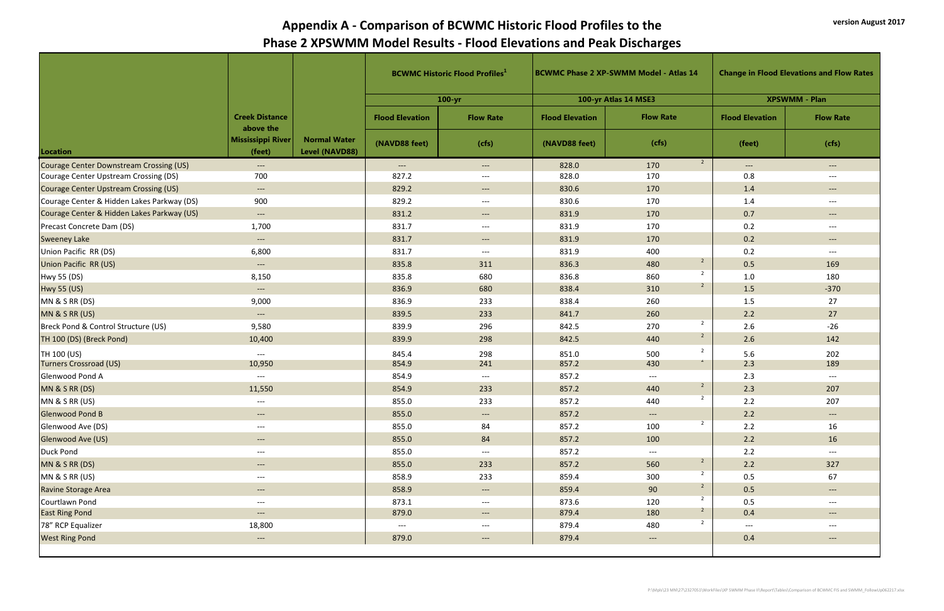|                                            |                                          |                                       |                                     | <b>BCWMC Historic Flood Profiles</b> <sup>1</sup> |                        | <b>BCWMC Phase 2 XP-SWMM Model - Atlas 14</b> |                        | <b>Change in Flood Elevations and Flow Rates</b> |
|--------------------------------------------|------------------------------------------|---------------------------------------|-------------------------------------|---------------------------------------------------|------------------------|-----------------------------------------------|------------------------|--------------------------------------------------|
|                                            |                                          |                                       |                                     | $100 - yr$                                        |                        | 100-yr Atlas 14 MSE3                          |                        | <b>XPSWMM - Plan</b>                             |
|                                            | <b>Creek Distance</b><br>above the       |                                       | <b>Flood Elevation</b>              | <b>Flow Rate</b>                                  | <b>Flood Elevation</b> | <b>Flow Rate</b>                              | <b>Flood Elevation</b> | <b>Flow Rate</b>                                 |
| Location                                   | <b>Mississippi River</b><br>(feet)       | <b>Normal Water</b><br>Level (NAVD88) | (NAVD88 feet)                       | (cfs)                                             | (NAVD88 feet)          | (cfs)                                         | (feet)                 | (cfs)                                            |
| Courage Center Downstream Crossing (US)    | $\hspace{0.05cm} \ldots \hspace{0.05cm}$ |                                       | $---$                               | $---$                                             | 828.0                  | $\overline{2}$<br>170                         | $\qquad \qquad - -$    | $\qquad \qquad - -$                              |
| Courage Center Upstream Crossing (DS)      | 700                                      |                                       | 827.2                               | $---$                                             | 828.0                  | 170                                           | 0.8                    | $---$                                            |
| Courage Center Upstream Crossing (US)      | $--$                                     |                                       | 829.2                               | $--$                                              | 830.6                  | 170                                           | 1.4                    | $---$                                            |
| Courage Center & Hidden Lakes Parkway (DS) | 900                                      |                                       | 829.2                               | $---$                                             | 830.6                  | 170                                           | 1.4                    | $---$                                            |
| Courage Center & Hidden Lakes Parkway (US) | $\qquad \qquad - - -$                    |                                       | 831.2                               | $---$                                             | 831.9                  | 170                                           | 0.7                    | $---$                                            |
| Precast Concrete Dam (DS)                  | 1,700                                    |                                       | 831.7                               | $---$                                             | 831.9                  | 170                                           | 0.2                    | $---$                                            |
| <b>Sweeney Lake</b>                        | $---$                                    |                                       | 831.7                               | $---$                                             | 831.9                  | 170                                           | 0.2                    | $\hspace{0.05cm} \dashrightarrow$                |
| Union Pacific RR (DS)                      | 6,800                                    |                                       | 831.7                               | $---$                                             | 831.9                  | 400                                           | 0.2                    | $---$                                            |
| Union Pacific RR (US)                      | $---$                                    |                                       | 835.8                               | 311                                               | 836.3                  | $\overline{2}$<br>480                         | 0.5                    | 169                                              |
| Hwy 55 (DS)                                | 8,150                                    |                                       | 835.8                               | 680                                               | 836.8                  | $\overline{2}$<br>860                         | 1.0                    | 180                                              |
| Hwy 55 (US)                                | $--$                                     |                                       | 836.9                               | 680                                               | 838.4                  | $2^{\circ}$<br>310                            | 1.5                    | $-370$                                           |
| MN & S RR (DS)                             | 9,000                                    |                                       | 836.9                               | 233                                               | 838.4                  | 260                                           | 1.5                    | 27                                               |
| MN & S RR (US)                             | $--$                                     |                                       | 839.5                               | 233                                               | 841.7                  | 260                                           | 2.2                    | 27                                               |
| Breck Pond & Control Structure (US)        | 9,580                                    |                                       | 839.9                               | 296                                               | 842.5                  | $\overline{2}$<br>270                         | 2.6                    | $-26$                                            |
| TH 100 (DS) (Breck Pond)                   | 10,400                                   |                                       | 839.9                               | 298                                               | 842.5                  | $\overline{2}$<br>440                         | 2.6                    | 142                                              |
| TH 100 (US)<br>Turners Crossroad (US)      | $---$<br>10,950                          |                                       | 845.4<br>854.9                      | 298<br>241                                        | 851.0<br>857.2         | $\overline{2}$<br>500<br>$\mathcal{L}$<br>430 | 5.6<br>2.3             | 202<br>189                                       |
| Glenwood Pond A                            | $---$                                    |                                       | 854.9                               | $---$                                             | 857.2                  | $---$                                         | 2.3                    | $\hspace{0.05cm}---\hspace{0.05cm}$              |
| MN & S RR (DS)                             | 11,550                                   |                                       | 854.9                               | 233                                               | 857.2                  | $\overline{2}$<br>440                         | 2.3                    | 207                                              |
| MN & S RR (US)                             |                                          |                                       | 855.0                               | 233                                               | 857.2                  | $\overline{2}$<br>440                         | 2.2                    | 207                                              |
| <b>Glenwood Pond B</b>                     | $---$                                    |                                       | 855.0                               | $- \,$                                            | 857.2                  | $---$                                         | 2.2                    | $---$                                            |
| Glenwood Ave (DS)                          | $---$                                    |                                       | 855.0                               | 84                                                | 857.2                  | $\overline{2}$<br>100                         | 2.2                    | 16                                               |
| Glenwood Ave (US)                          | $---$                                    |                                       | 855.0                               | 84                                                | 857.2                  | 100                                           | 2.2                    | 16                                               |
| Duck Pond                                  | $---$                                    |                                       | 855.0                               | $---$                                             | 857.2                  | $\hspace{0.05cm} \dashrightarrow$             | 2.2                    | $---$                                            |
| MN & S RR (DS)                             | $---$                                    |                                       | 855.0                               | 233                                               | 857.2                  | $\overline{2}$<br>560                         | 2.2                    | 327                                              |
| MN & S RR (US)                             | $---$                                    |                                       | 858.9                               | 233                                               | 859.4                  | $\overline{2}$<br>300                         | 0.5                    | 67                                               |
| <b>Ravine Storage Area</b>                 | $--$                                     |                                       | 858.9                               | $- \,$                                            | 859.4                  | $\overline{2}$<br>90                          | 0.5                    | $\qquad \qquad - -$                              |
| Courtlawn Pond                             | $---$                                    |                                       | 873.1                               | $---$                                             | 873.6                  | $\overline{2}$<br>120                         | 0.5                    | $---$                                            |
| <b>East Ring Pond</b>                      | $---$                                    |                                       | 879.0                               | $---$                                             | 879.4                  | 180                                           | 0.4                    | $\qquad \qquad - -$                              |
| 78" RCP Equalizer                          | 18,800                                   |                                       | $\hspace{0.05cm}---\hspace{0.05cm}$ | $--$                                              | 879.4                  | $\overline{2}$<br>480                         | $---$                  | $---$                                            |
| <b>West Ring Pond</b>                      | $\qquad \qquad - -$                      |                                       | 879.0                               | $---$                                             | 879.4                  | $\hspace{0.05cm} \dashrightarrow$             | 0.4                    | $\qquad \qquad - -$                              |
|                                            |                                          |                                       |                                     |                                                   |                        |                                               |                        |                                                  |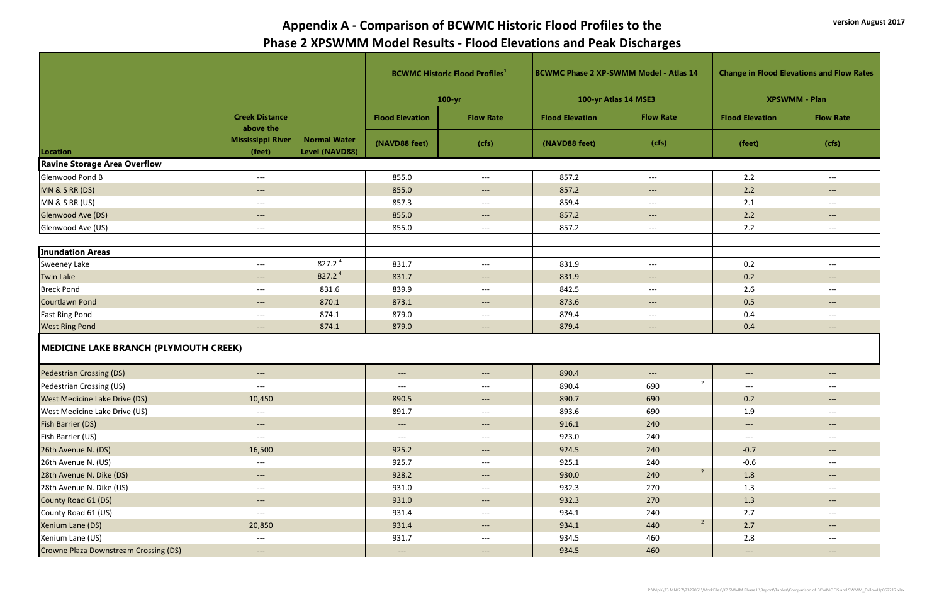|                                              |                                    |                                       |                                          | <b>BCWMC Historic Flood Profiles</b> <sup>1</sup> | <b>BCWMC Phase 2 XP-SWMM Model - Atlas 14</b> |                                                               |                                                         | <b>Change in Flood Elevations and Flow Rates</b>        |
|----------------------------------------------|------------------------------------|---------------------------------------|------------------------------------------|---------------------------------------------------|-----------------------------------------------|---------------------------------------------------------------|---------------------------------------------------------|---------------------------------------------------------|
|                                              |                                    |                                       |                                          | $100 - yr$                                        |                                               | 100-yr Atlas 14 MSE3                                          |                                                         | <b>XPSWMM - Plan</b>                                    |
|                                              | <b>Creek Distance</b><br>above the |                                       | <b>Flood Elevation</b>                   | <b>Flow Rate</b>                                  | <b>Flood Elevation</b>                        | <b>Flow Rate</b>                                              | <b>Flood Elevation</b>                                  | <b>Flow Rate</b>                                        |
| Location                                     | Mississippi River<br>(feet)        | <b>Normal Water</b><br>Level (NAVD88) | (NAVD88 feet)                            | (cfs)                                             | (NAVD88 feet)                                 | (cfs)                                                         | (feet)                                                  | (cfs)                                                   |
| <b>Ravine Storage Area Overflow</b>          |                                    |                                       |                                          |                                                   |                                               |                                                               |                                                         |                                                         |
| Glenwood Pond B                              | $---$                              |                                       | 855.0                                    | $---$                                             | 857.2                                         | $\hspace{0.05cm} \dashrightarrow$                             | 2.2                                                     | $---$                                                   |
| MN & S RR (DS)                               | $---$                              |                                       | 855.0                                    | $---$                                             | 857.2                                         | $---$                                                         | 2.2                                                     | $---$                                                   |
| MN & S RR (US)                               | $---$                              |                                       | 857.3                                    | $---$                                             | 859.4                                         | $---$                                                         | 2.1                                                     | $---$                                                   |
| Glenwood Ave (DS)                            | $\qquad \qquad - -$                |                                       | 855.0                                    | $--$                                              | 857.2                                         | $\hspace{0.1em} \dashrightarrow \hspace{0.1em} \ldots$        | 2.2                                                     | $---$                                                   |
| Glenwood Ave (US)                            | $---$                              |                                       | 855.0                                    | $---$                                             | 857.2                                         | $--$                                                          | 2.2                                                     | $---$                                                   |
|                                              |                                    |                                       |                                          |                                                   |                                               |                                                               |                                                         |                                                         |
| <b>Inundation Areas</b>                      |                                    |                                       |                                          |                                                   |                                               |                                                               |                                                         |                                                         |
| <b>Sweeney Lake</b>                          | $---$                              | 827.2 $4$                             | 831.7                                    | $--$                                              | 831.9                                         | $---$                                                         | 0.2                                                     | $--$                                                    |
| <b>Twin Lake</b>                             | $\qquad \qquad - -$                | $827.2^4$                             | 831.7                                    | $---$                                             | 831.9                                         | $\hspace{0.1em} \dashrightarrow \hspace{0.1em} \ldots$        | 0.2                                                     | $---$                                                   |
| <b>Breck Pond</b>                            | $---$                              | 831.6                                 | 839.9                                    | $---$                                             | 842.5                                         | $---$                                                         | 2.6                                                     | $---$                                                   |
| Courtlawn Pond                               | $---$                              | 870.1                                 | 873.1                                    | $---$                                             | 873.6                                         | $\hspace{0.1em}-\hspace{0.1em}-\hspace{0.1em}-\hspace{0.1em}$ | 0.5                                                     | $---$                                                   |
| <b>East Ring Pond</b>                        | $---$                              | 874.1                                 | 879.0                                    | $---$                                             | 879.4                                         | $\hspace{0.05cm} \ldots \hspace{0.05cm}$                      | 0.4                                                     | $\hspace{0.05cm} \hspace{0.02cm} \hspace{0.02cm} \dots$ |
| <b>West Ring Pond</b>                        | $---$                              | 874.1                                 | 879.0                                    | $---$                                             | 879.4                                         | $\hspace{0.05cm} \dashrightarrow$                             | 0.4                                                     | $---$                                                   |
| <b>MEDICINE LAKE BRANCH (PLYMOUTH CREEK)</b> |                                    |                                       |                                          |                                                   |                                               |                                                               |                                                         |                                                         |
| <b>Pedestrian Crossing (DS)</b>              | $---$                              |                                       | $\qquad \qquad - -$                      | $--$                                              | 890.4                                         | $---$                                                         | $--$                                                    | $---$                                                   |
| Pedestrian Crossing (US)                     | $---$                              |                                       | ---                                      | $---$                                             | 890.4                                         | $\overline{2}$<br>690                                         | ---                                                     | $---$                                                   |
| <b>West Medicine Lake Drive (DS)</b>         | 10,450                             |                                       | 890.5                                    | $--$                                              | 890.7                                         | 690                                                           | 0.2                                                     | $\hspace{0.05cm} \dashrightarrow$                       |
| West Medicine Lake Drive (US)                | $---$                              |                                       | 891.7                                    | $---$                                             | 893.6                                         | 690                                                           | 1.9                                                     | $\hspace{0.05cm}---$                                    |
| Fish Barrier (DS)                            | $\qquad \qquad - -$                |                                       | $\hspace{0.05cm} \dashrightarrow$        | $---$                                             | 916.1                                         | 240                                                           | $\hspace{0.05cm} \hspace{0.02cm} \hspace{0.02cm} \dots$ | $---$                                                   |
| Fish Barrier (US)                            | $---$                              |                                       | $\hspace{0.05cm} \ldots \hspace{0.05cm}$ | $---$                                             | 923.0                                         | 240                                                           | $---$                                                   | $--$                                                    |
| 26th Avenue N. (DS)                          | 16,500                             |                                       | 925.2                                    | $---$                                             | 924.5                                         | 240                                                           | $-0.7$                                                  | $---$                                                   |
| 26th Avenue N. (US)                          | $---$                              |                                       | 925.7                                    | $---$                                             | 925.1                                         | 240                                                           | $-0.6$                                                  | $---$                                                   |
| 28th Avenue N. Dike (DS)                     | $\qquad \qquad - -$                |                                       | 928.2                                    | $---$                                             | 930.0                                         | $\overline{2}$<br>240                                         | 1.8                                                     | $\hspace{0.05cm} \dashrightarrow$                       |
| 28th Avenue N. Dike (US)                     | $---$                              |                                       | 931.0                                    | $---$                                             | 932.3                                         | 270                                                           | 1.3                                                     | $---$                                                   |
| County Road 61 (DS)                          | $\qquad \qquad - -$                |                                       | 931.0                                    | $---$                                             | 932.3                                         | 270                                                           | 1.3                                                     | $\hspace{0.05cm} \dashrightarrow$                       |
| County Road 61 (US)                          | $---$                              |                                       | 931.4                                    | $--$                                              | 934.1                                         | 240                                                           | 2.7                                                     | $---$                                                   |
| Xenium Lane (DS)                             | 20,850                             |                                       | 931.4                                    | $---$                                             | 934.1                                         | $\overline{2}$<br>440                                         | 2.7                                                     | $---$                                                   |
| Xenium Lane (US)                             | $---$                              |                                       | 931.7                                    | $---$                                             | 934.5                                         | 460                                                           | 2.8                                                     | $--$                                                    |
| Crowne Plaza Downstream Crossing (DS)        | $\qquad \qquad - -$                |                                       | $\qquad \qquad - -$                      | $---$                                             | 934.5                                         | 460                                                           | $---$                                                   | $\hspace{0.05cm} \dashrightarrow$                       |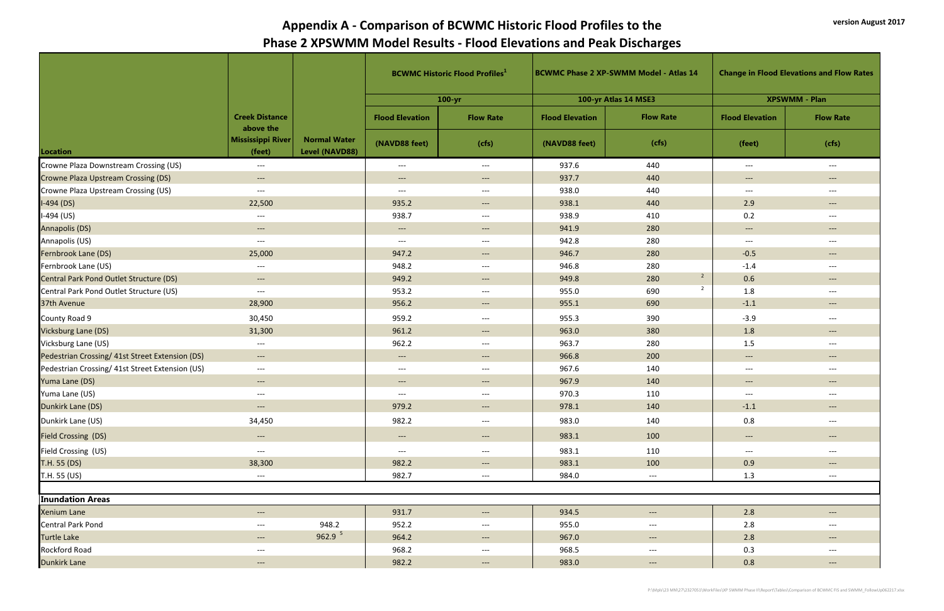|                                                 |                                    |                                       | <b>BCWMC Historic Flood Profiles</b> <sup>1</sup> |                     | <b>BCWMC Phase 2 XP-SWMM Model - Atlas 14</b> |                                   | <b>Change in Flood Elevations and Flow Rates</b> |                                   |
|-------------------------------------------------|------------------------------------|---------------------------------------|---------------------------------------------------|---------------------|-----------------------------------------------|-----------------------------------|--------------------------------------------------|-----------------------------------|
|                                                 |                                    |                                       |                                                   | $100 - yr$          | 100-yr Atlas 14 MSE3                          |                                   |                                                  | <b>XPSWMM - Plan</b>              |
|                                                 | <b>Creek Distance</b><br>above the |                                       | <b>Flood Elevation</b>                            | <b>Flow Rate</b>    | <b>Flood Elevation</b>                        | <b>Flow Rate</b>                  | <b>Flood Elevation</b>                           | <b>Flow Rate</b>                  |
| Location                                        | Mississippi River<br>(feet)        | <b>Normal Water</b><br>Level (NAVD88) | (NAVD88 feet)                                     | (cfs)               | (NAVD88 feet)                                 | (cfs)                             | (feet)                                           | (cfs)                             |
| Crowne Plaza Downstream Crossing (US)           | $---$                              |                                       | $---$                                             | $---$               | 937.6                                         | 440                               | $\hspace{0.05cm} \ldots \hspace{0.05cm}$         | $--$                              |
| <b>Crowne Plaza Upstream Crossing (DS)</b>      | $--$                               |                                       | $---$                                             | $--$                | 937.7                                         | 440                               | $--$                                             | $---$                             |
| Crowne Plaza Upstream Crossing (US)             | $---$                              |                                       | $---$                                             | $---$               | 938.0                                         | 440                               | $--$                                             | $---$                             |
| $I-494(DS)$                                     | 22,500                             |                                       | 935.2                                             | $--$                | 938.1                                         | 440                               | 2.9                                              | $---$                             |
| $I-494$ (US)                                    | $---$                              |                                       | 938.7                                             | $---$               | 938.9                                         | 410                               | 0.2                                              | $---$                             |
| Annapolis (DS)                                  | $---$                              |                                       | $---$                                             | $---$               | 941.9                                         | 280                               | $--$                                             | $---$                             |
| Annapolis (US)                                  | $---$                              |                                       | $---$                                             | $---$               | 942.8                                         | 280                               | $---$                                            | $---$                             |
| Fernbrook Lane (DS)                             | 25,000                             |                                       | 947.2                                             | $---$               | 946.7                                         | 280                               | $-0.5$                                           | $---$                             |
| Fernbrook Lane (US)                             | $---$                              |                                       | 948.2                                             | $---$               | 946.8                                         | 280                               | $-1.4$                                           | $---$                             |
| Central Park Pond Outlet Structure (DS)         | $---$                              |                                       | 949.2                                             | $---$               | 949.8                                         | $\overline{2}$<br>280             | 0.6                                              | $---$                             |
| Central Park Pond Outlet Structure (US)         | $---$                              |                                       | 953.2                                             | $---$               | 955.0                                         | $\overline{2}$<br>690             | 1.8                                              | $---$                             |
| 37th Avenue                                     | 28,900                             |                                       | 956.2                                             | $---$               | 955.1                                         | 690                               | $-1.1$                                           | $---$                             |
| County Road 9                                   | 30,450                             |                                       | 959.2                                             | $---$               | 955.3                                         | 390                               | $-3.9$                                           | $---$                             |
| Vicksburg Lane (DS)                             | 31,300                             |                                       | 961.2                                             | $--$                | 963.0                                         | 380                               | 1.8                                              | $---$                             |
| Vicksburg Lane (US)                             | $---$                              |                                       | 962.2                                             | $---$               | 963.7                                         | 280                               | 1.5                                              | $---$                             |
| Pedestrian Crossing/ 41st Street Extension (DS) | $\hspace{0.05cm} \dashrightarrow$  |                                       | $\qquad \qquad - -$                               | $---$               | 966.8                                         | 200                               | $--$                                             | $---$                             |
| Pedestrian Crossing/ 41st Street Extension (US) | $---$                              |                                       | $---$                                             | $---$               | 967.6                                         | 140                               | $---$                                            | $---$                             |
| Yuma Lane (DS)                                  | $---$                              |                                       | $---$                                             | $---$               | 967.9                                         | 140                               | $\qquad \qquad - -$                              | $---$                             |
| Yuma Lane (US)                                  | $---$                              |                                       | $---$                                             | $---$               | 970.3                                         | 110                               | $---$                                            | $---$                             |
| Dunkirk Lane (DS)                               | $---$                              |                                       | 979.2                                             | $\qquad \qquad - -$ | 978.1                                         | 140                               | $-1.1$                                           | $---$                             |
| Dunkirk Lane (US)                               | 34,450                             |                                       | 982.2                                             | $---$               | 983.0                                         | 140                               | 0.8                                              | $---$                             |
| <b>Field Crossing (DS)</b>                      | $\qquad \qquad - -$                |                                       | $---$                                             | $\qquad \qquad - -$ | 983.1                                         | 100                               | $--$                                             | $---$                             |
| Field Crossing (US)                             | $---$                              |                                       | $---$                                             | $---$               | 983.1                                         | 110                               | $---$                                            | $---$                             |
| T.H. 55 (DS)                                    | 38,300                             |                                       | 982.2                                             | $--$                | 983.1                                         | 100                               | 0.9                                              | $\qquad \qquad - -$               |
| T.H. 55 (US)                                    | $---$                              |                                       | 982.7                                             | $---$               | 984.0                                         | $---$                             | 1.3                                              | $---$                             |
|                                                 |                                    |                                       |                                                   |                     |                                               |                                   |                                                  |                                   |
| <b>Inundation Areas</b>                         |                                    |                                       |                                                   |                     |                                               |                                   |                                                  |                                   |
| <b>Xenium Lane</b>                              | ---                                |                                       | 931.7                                             | $\qquad \qquad - -$ | 934.5                                         | $\hspace{0.05cm} \dashrightarrow$ | $2.8$                                            | $\hspace{0.05cm} \dashrightarrow$ |
| <b>Central Park Pond</b>                        | $---$                              | 948.2                                 | 952.2                                             | $---$               | 955.0                                         | $---$                             | 2.8                                              | $--$                              |
| <b>Turtle Lake</b>                              | $\hspace{0.05cm} \dashrightarrow$  | 962.9 <sup>5</sup>                    | 964.2                                             | $--$                | 967.0                                         | $\hspace{0.05cm} \dashrightarrow$ | 2.8                                              | $---$                             |
| Rockford Road                                   | $---$                              |                                       | 968.2                                             | $---$               | 968.5                                         | $---$                             | 0.3                                              | $---$                             |
| <b>Dunkirk Lane</b>                             | $--$                               |                                       | 982.2                                             | $--$                | 983.0                                         | $\qquad \qquad - -$               | 0.8                                              | $\qquad \qquad - -$               |